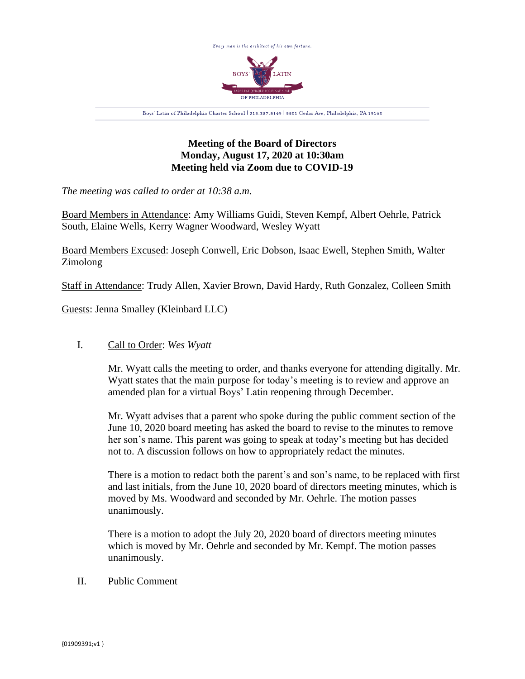

## **Meeting of the Board of Directors Monday, August 17, 2020 at 10:30am Meeting held via Zoom due to COVID-19**

*The meeting was called to order at 10:38 a.m.*

Board Members in Attendance: Amy Williams Guidi, Steven Kempf, Albert Oehrle, Patrick South, Elaine Wells, Kerry Wagner Woodward, Wesley Wyatt

Board Members Excused: Joseph Conwell, Eric Dobson, Isaac Ewell, Stephen Smith, Walter Zimolong

Staff in Attendance: Trudy Allen, Xavier Brown, David Hardy, Ruth Gonzalez, Colleen Smith

Guests: Jenna Smalley (Kleinbard LLC)

## I. Call to Order: *Wes Wyatt*

Mr. Wyatt calls the meeting to order, and thanks everyone for attending digitally. Mr. Wyatt states that the main purpose for today's meeting is to review and approve an amended plan for a virtual Boys' Latin reopening through December.

Mr. Wyatt advises that a parent who spoke during the public comment section of the June 10, 2020 board meeting has asked the board to revise to the minutes to remove her son's name. This parent was going to speak at today's meeting but has decided not to. A discussion follows on how to appropriately redact the minutes.

There is a motion to redact both the parent's and son's name, to be replaced with first and last initials, from the June 10, 2020 board of directors meeting minutes, which is moved by Ms. Woodward and seconded by Mr. Oehrle. The motion passes unanimously.

There is a motion to adopt the July 20, 2020 board of directors meeting minutes which is moved by Mr. Oehrle and seconded by Mr. Kempf. The motion passes unanimously.

## II. Public Comment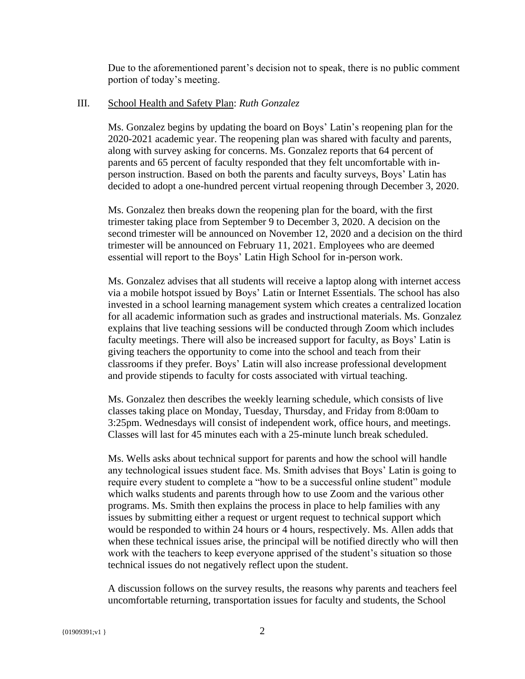Due to the aforementioned parent's decision not to speak, there is no public comment portion of today's meeting.

## III. School Health and Safety Plan: *Ruth Gonzalez*

Ms. Gonzalez begins by updating the board on Boys' Latin's reopening plan for the 2020-2021 academic year. The reopening plan was shared with faculty and parents, along with survey asking for concerns. Ms. Gonzalez reports that 64 percent of parents and 65 percent of faculty responded that they felt uncomfortable with inperson instruction. Based on both the parents and faculty surveys, Boys' Latin has decided to adopt a one-hundred percent virtual reopening through December 3, 2020.

Ms. Gonzalez then breaks down the reopening plan for the board, with the first trimester taking place from September 9 to December 3, 2020. A decision on the second trimester will be announced on November 12, 2020 and a decision on the third trimester will be announced on February 11, 2021. Employees who are deemed essential will report to the Boys' Latin High School for in-person work.

Ms. Gonzalez advises that all students will receive a laptop along with internet access via a mobile hotspot issued by Boys' Latin or Internet Essentials. The school has also invested in a school learning management system which creates a centralized location for all academic information such as grades and instructional materials. Ms. Gonzalez explains that live teaching sessions will be conducted through Zoom which includes faculty meetings. There will also be increased support for faculty, as Boys' Latin is giving teachers the opportunity to come into the school and teach from their classrooms if they prefer. Boys' Latin will also increase professional development and provide stipends to faculty for costs associated with virtual teaching.

Ms. Gonzalez then describes the weekly learning schedule, which consists of live classes taking place on Monday, Tuesday, Thursday, and Friday from 8:00am to 3:25pm. Wednesdays will consist of independent work, office hours, and meetings. Classes will last for 45 minutes each with a 25-minute lunch break scheduled.

Ms. Wells asks about technical support for parents and how the school will handle any technological issues student face. Ms. Smith advises that Boys' Latin is going to require every student to complete a "how to be a successful online student" module which walks students and parents through how to use Zoom and the various other programs. Ms. Smith then explains the process in place to help families with any issues by submitting either a request or urgent request to technical support which would be responded to within 24 hours or 4 hours, respectively. Ms. Allen adds that when these technical issues arise, the principal will be notified directly who will then work with the teachers to keep everyone apprised of the student's situation so those technical issues do not negatively reflect upon the student.

A discussion follows on the survey results, the reasons why parents and teachers feel uncomfortable returning, transportation issues for faculty and students, the School